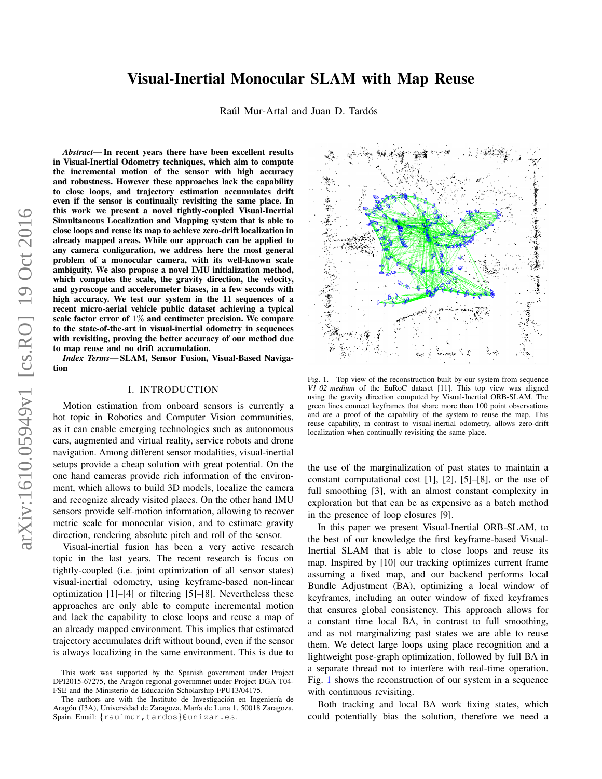# Visual-Inertial Monocular SLAM with Map Reuse

Raúl Mur-Artal and Juan D. Tardós

arXiv:1610.05949v1 [cs.RO] 19 Oct 2016 arXiv:1610.05949v1 [cs.RO] 19 Oct 2016

*Abstract*— In recent years there have been excellent results in Visual-Inertial Odometry techniques, which aim to compute the incremental motion of the sensor with high accuracy and robustness. However these approaches lack the capability to close loops, and trajectory estimation accumulates drift even if the sensor is continually revisiting the same place. In this work we present a novel tightly-coupled Visual-Inertial Simultaneous Localization and Mapping system that is able to close loops and reuse its map to achieve zero-drift localization in already mapped areas. While our approach can be applied to any camera configuration, we address here the most general problem of a monocular camera, with its well-known scale ambiguity. We also propose a novel IMU initialization method, which computes the scale, the gravity direction, the velocity, and gyroscope and accelerometer biases, in a few seconds with high accuracy. We test our system in the 11 sequences of a recent micro-aerial vehicle public dataset achieving a typical scale factor error of  $1\%$  and centimeter precision. We compare to the state-of-the-art in visual-inertial odometry in sequences with revisiting, proving the better accuracy of our method due to map reuse and no drift accumulation.

*Index Terms*— SLAM, Sensor Fusion, Visual-Based Navigation

# I. INTRODUCTION

Motion estimation from onboard sensors is currently a hot topic in Robotics and Computer Vision communities, as it can enable emerging technologies such as autonomous cars, augmented and virtual reality, service robots and drone navigation. Among different sensor modalities, visual-inertial setups provide a cheap solution with great potential. On the one hand cameras provide rich information of the environment, which allows to build 3D models, localize the camera and recognize already visited places. On the other hand IMU sensors provide self-motion information, allowing to recover metric scale for monocular vision, and to estimate gravity direction, rendering absolute pitch and roll of the sensor.

Visual-inertial fusion has been a very active research topic in the last years. The recent research is focus on tightly-coupled (i.e. joint optimization of all sensor states) visual-inertial odometry, using keyframe-based non-linear optimization [1]–[4] or filtering [5]–[8]. Nevertheless these approaches are only able to compute incremental motion and lack the capability to close loops and reuse a map of an already mapped environment. This implies that estimated trajectory accumulates drift without bound, even if the sensor is always localizing in the same environment. This is due to

Fig. 1. Top view of the reconstruction built by our system from sequence

<span id="page-0-0"></span>*V1 02 medium* of the EuRoC dataset [11]. This top view was aligned using the gravity direction computed by Visual-Inertial ORB-SLAM. The green lines connect keyframes that share more than 100 point observations and are a proof of the capability of the system to reuse the map. This reuse capability, in contrast to visual-inertial odometry, allows zero-drift localization when continually revisiting the same place.

the use of the marginalization of past states to maintain a constant computational cost [1], [2], [5]–[8], or the use of full smoothing [3], with an almost constant complexity in exploration but that can be as expensive as a batch method in the presence of loop closures [9].

In this paper we present Visual-Inertial ORB-SLAM, to the best of our knowledge the first keyframe-based Visual-Inertial SLAM that is able to close loops and reuse its map. Inspired by [10] our tracking optimizes current frame assuming a fixed map, and our backend performs local Bundle Adjustment (BA), optimizing a local window of keyframes, including an outer window of fixed keyframes that ensures global consistency. This approach allows for a constant time local BA, in contrast to full smoothing, and as not marginalizing past states we are able to reuse them. We detect large loops using place recognition and a lightweight pose-graph optimization, followed by full BA in a separate thread not to interfere with real-time operation. Fig. [1](#page-0-0) shows the reconstruction of our system in a sequence with continuous revisiting.

Both tracking and local BA work fixing states, which could potentially bias the solution, therefore we need a

This work was supported by the Spanish government under Project DPI2015-67275, the Aragón regional governmnet under Project DGA T04-FSE and the Ministerio de Educación Scholarship FPU13/04175.

The authors are with the Instituto de Investigación en Ingeniería de Aragón (I3A), Universidad de Zaragoza, María de Luna 1, 50018 Zaragoza, Spain. Email: {raulmur,tardos}@unizar.es.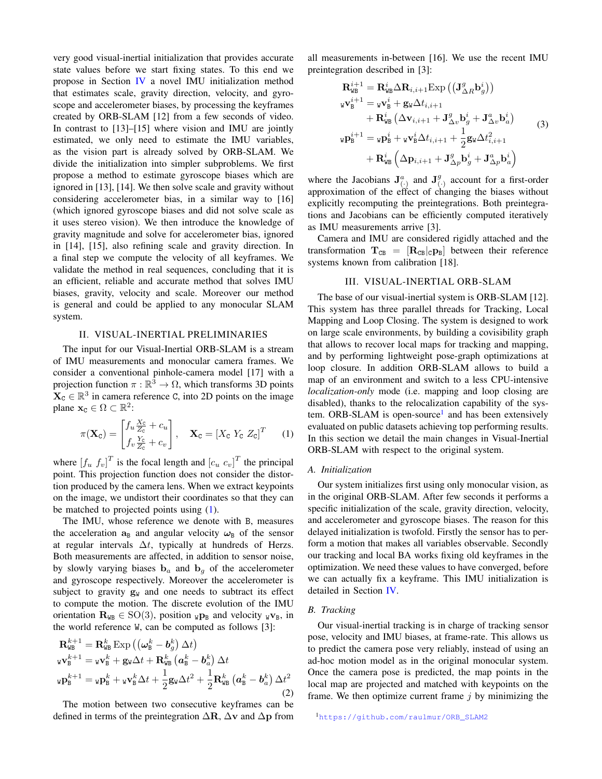very good visual-inertial initialization that provides accurate state values before we start fixing states. To this end we propose in Section [IV](#page-3-0) a novel IMU initialization method that estimates scale, gravity direction, velocity, and gyroscope and accelerometer biases, by processing the keyframes created by ORB-SLAM [12] from a few seconds of video. In contrast to [13]–[15] where vision and IMU are jointly estimated, we only need to estimate the IMU variables, as the vision part is already solved by ORB-SLAM. We divide the initialization into simpler subproblems. We first propose a method to estimate gyroscope biases which are ignored in [13], [14]. We then solve scale and gravity without considering accelerometer bias, in a similar way to [16] (which ignored gyroscope biases and did not solve scale as it uses stereo vision). We then introduce the knowledge of gravity magnitude and solve for accelerometer bias, ignored in [14], [15], also refining scale and gravity direction. In a final step we compute the velocity of all keyframes. We validate the method in real sequences, concluding that it is an efficient, reliable and accurate method that solves IMU biases, gravity, velocity and scale. Moreover our method is general and could be applied to any monocular SLAM system.

#### II. VISUAL-INERTIAL PRELIMINARIES

The input for our Visual-Inertial ORB-SLAM is a stream of IMU measurements and monocular camera frames. We consider a conventional pinhole-camera model [17] with a projection function  $\pi : \mathbb{R}^3 \to \Omega$ , which transforms 3D points  $\mathbf{X}_{\mathbf{C}} \in \mathbb{R}^3$  in camera reference C, into 2D points on the image plane  $\mathbf{x}_c \in \Omega \subset \mathbb{R}^2$ :

<span id="page-1-0"></span>
$$
\pi(\mathbf{X}_{\mathrm{C}}) = \begin{bmatrix} f_u \frac{X_{\mathrm{C}}}{Z_{\mathrm{C}}} + c_u \\ f_v \frac{Y_{\mathrm{C}}}{Z_{\mathrm{C}}} + c_v \end{bmatrix}, \quad \mathbf{X}_{\mathrm{C}} = \begin{bmatrix} X_{\mathrm{C}} \ Y_{\mathrm{C}} \ Z_{\mathrm{C}} \end{bmatrix}^T \tag{1}
$$

where  $\left[f_u, f_v\right]^T$  is the focal length and  $\left[c_u, c_v\right]^T$  the principal point. This projection function does not consider the distortion produced by the camera lens. When we extract keypoints on the image, we undistort their coordinates so that they can be matched to projected points using [\(1\)](#page-1-0).

The IMU, whose reference we denote with B, measures the acceleration  $a_B$  and angular velocity  $\omega_B$  of the sensor at regular intervals  $\Delta t$ , typically at hundreds of Herzs. Both measurements are affected, in addition to sensor noise, by slowly varying biases  $\mathbf{b}_a$  and  $\mathbf{b}_q$  of the accelerometer and gyroscope respectively. Moreover the accelerometer is subject to gravity  $g_W$  and one needs to subtract its effect to compute the motion. The discrete evolution of the IMU orientation  $\mathbf{R}_{\text{WB}} \in \text{SO}(3)$ , position  $_{\text{W}}\mathbf{p}_{\text{B}}$  and velocity  $_{\text{W}}\mathbf{v}_{\text{B}}$ , in the world reference W, can be computed as follows [3]:

$$
\mathbf{R}_{\text{WB}}^{k+1} = \mathbf{R}_{\text{WB}}^{k} \operatorname{Exp} \left( \left( \boldsymbol{\omega}_{\text{B}}^{k} - \boldsymbol{b}_{g}^{k} \right) \Delta t \right) \n\mathbf{w}_{\text{B}}^{k+1} = \mathbf{w}_{\text{B}}^{k} + \mathbf{g}_{\text{W}} \Delta t + \mathbf{R}_{\text{WB}}^{k} \left( \boldsymbol{a}_{\text{B}}^{k} - \boldsymbol{b}_{a}^{k} \right) \Delta t \n\mathbf{w}_{\text{B}}^{k+1} = \mathbf{w}_{\text{B}}^{k} + \mathbf{w}_{\text{B}}^{k} \Delta t + \frac{1}{2} \mathbf{g}_{\text{W}} \Delta t^{2} + \frac{1}{2} \mathbf{R}_{\text{WB}}^{k} \left( \boldsymbol{a}_{\text{B}}^{k} - \boldsymbol{b}_{a}^{k} \right) \Delta t^{2} \n\tag{2}
$$

The motion between two consecutive keyframes can be defined in terms of the preintegration  $\Delta$ **R**,  $\Delta$ **v** and  $\Delta$ **p** from all measurements in-between [16]. We use the recent IMU preintegration described in [3]:

<span id="page-1-2"></span>
$$
\mathbf{R}_{\text{WB}}^{i+1} = \mathbf{R}_{\text{WB}}^{i} \Delta \mathbf{R}_{i,i+1} \text{Exp}\left( \left( \mathbf{J}_{\Delta R}^{g} \mathbf{b}_{g}^{i} \right) \right) \n\mathbf{w}_{\text{B}}^{i+1} = \mathbf{w}_{\text{B}}^{i} + \mathbf{g}_{\text{W}} \Delta t_{i,i+1} \n+ \mathbf{R}_{\text{WB}}^{i} \left( \Delta \mathbf{v}_{i,i+1} + \mathbf{J}_{\Delta v}^{g} \mathbf{b}_{g}^{i} + \mathbf{J}_{\Delta v}^{a} \mathbf{b}_{a}^{i} \right) \n\mathbf{w}_{\text{B}}^{i+1} = \mathbf{w}_{\text{B}}^{i} + \mathbf{w}_{\text{B}}^{i} \Delta t_{i,i+1} + \frac{1}{2} \mathbf{g}_{\text{W}} \Delta t_{i,i+1}^{2} \n+ \mathbf{R}_{\text{WB}}^{i} \left( \Delta \mathbf{p}_{i,i+1} + \mathbf{J}_{\Delta p}^{g} \mathbf{b}_{g}^{i} + \mathbf{J}_{\Delta p}^{a} \mathbf{b}_{a}^{i} \right)
$$
\n(3)

where the Jacobians  $\mathbf{J}_{(.)}^a$  and  $\mathbf{J}_{(.)}^g$  $\int_{(0)}^{g}$  account for a first-order approximation of the effect of changing the biases without explicitly recomputing the preintegrations. Both preintegrations and Jacobians can be efficiently computed iteratively as IMU measurements arrive [3].

Camera and IMU are considered rigidly attached and the transformation  $T_{CB} = [R_{CB}|_{CDB}]$  between their reference systems known from calibration [18].

## III. VISUAL-INERTIAL ORB-SLAM

The base of our visual-inertial system is ORB-SLAM [12]. This system has three parallel threads for Tracking, Local Mapping and Loop Closing. The system is designed to work on large scale environments, by building a covisibility graph that allows to recover local maps for tracking and mapping, and by performing lightweight pose-graph optimizations at loop closure. In addition ORB-SLAM allows to build a map of an environment and switch to a less CPU-intensive *localization-only* mode (i.e. mapping and loop closing are disabled), thanks to the relocalization capability of the sys-tem. ORB-SLAM is open-source<sup>[1](#page-1-1)</sup> and has been extensively evaluated on public datasets achieving top performing results. In this section we detail the main changes in Visual-Inertial ORB-SLAM with respect to the original system.

## *A. Initialization*

Our system initializes first using only monocular vision, as in the original ORB-SLAM. After few seconds it performs a specific initialization of the scale, gravity direction, velocity, and accelerometer and gyroscope biases. The reason for this delayed initialization is twofold. Firstly the sensor has to perform a motion that makes all variables observable. Secondly our tracking and local BA works fixing old keyframes in the optimization. We need these values to have converged, before we can actually fix a keyframe. This IMU initialization is detailed in Section [IV.](#page-3-0)

## *B. Tracking*

<span id="page-1-1"></span>Our visual-inertial tracking is in charge of tracking sensor pose, velocity and IMU biases, at frame-rate. This allows us to predict the camera pose very reliably, instead of using an ad-hoc motion model as in the original monocular system. Once the camera pose is predicted, the map points in the local map are projected and matched with keypoints on the frame. We then optimize current frame  $j$  by minimizing the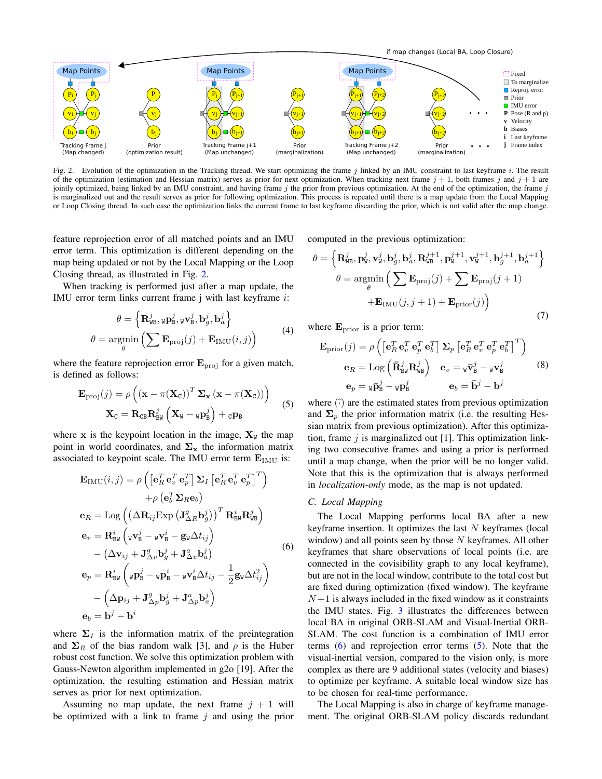

<span id="page-2-0"></span>Fig. 2. Evolution of the optimization in the Tracking thread. We start optimizing the frame j linked by an IMU constraint to last keyframe i. The result of the optimization (estimation and Hessian matrix) serves as prior for next optimization. When tracking next frame  $j + 1$ , both frames j and  $j + 1$  are jointly optimized, being linked by an IMU constraint, and having frame  $j$  the prior from previous optimization. At the end of the optimization, the frame  $j$ is marginalized out and the result serves as prior for following optimization. This process is repeated until there is a map update from the Local Mapping or Loop Closing thread. In such case the optimization links the current frame to last keyframe discarding the prior, which is not valid after the map change.

feature reprojection error of all matched points and an IMU error term. This optimization is different depending on the map being updated or not by the Local Mapping or the Loop Closing thread, as illustrated in Fig. [2.](#page-2-0)

When tracking is performed just after a map update, the IMU error term links current frame j with last keyframe i:

$$
\theta = \left\{ \mathbf{R}_{\text{WB}}^{j}, \mathbf{w} \mathbf{p}_{\text{B}}^{j}, \mathbf{w}_{\text{B}}^{j}, \mathbf{b}_{g}^{j}, \mathbf{b}_{g}^{j} \right\}
$$
\n
$$
\theta = \operatorname*{argmin}_{\theta} \left( \sum \mathbf{E}_{\text{proj}}(j) + \mathbf{E}_{\text{IMU}}(i, j) \right)
$$
\n(4)

where the feature reprojection error  $E_{\text{proj}}$  for a given match, is defined as follows:

<span id="page-2-2"></span>
$$
\mathbf{E}_{\text{proj}}(j) = \rho \left( (\mathbf{x} - \pi(\mathbf{X}_{\text{C}}))^T \mathbf{\Sigma}_{\mathbf{x}} (\mathbf{x} - \pi(\mathbf{X}_{\text{C}})) \right)
$$

$$
\mathbf{X}_{\text{C}} = \mathbf{R}_{\text{CB}} \mathbf{R}_{\text{BW}}^j \left( \mathbf{X}_{\text{W}} - \mathbf{W} \mathbf{p}_{\text{B}}^j \right) + \mathbf{C} \mathbf{p}_{\text{B}}
$$
(5)

where x is the keypoint location in the image,  $X_{W}$  the map point in world coordinates, and  $\Sigma_{\rm x}$  the information matrix associated to keypoint scale. The IMU error term  $\mathbf{E}_{\text{IMU}}$  is:

$$
\mathbf{E}_{\text{IMU}}(i,j) = \rho \left( \left[ \mathbf{e}_{R}^{T} \mathbf{e}_{v}^{T} \mathbf{e}_{p}^{T} \right] \mathbf{\Sigma}_{I} \left[ \mathbf{e}_{R}^{T} \mathbf{e}_{v}^{T} \mathbf{e}_{p}^{T} \right]^{T} \right) \n+ \rho \left( \mathbf{e}_{b}^{T} \mathbf{\Sigma}_{R} \mathbf{e}_{b} \right) \n\mathbf{e}_{R} = \text{Log} \left( \left( \Delta \mathbf{R}_{ij} \text{Exp} \left( \mathbf{J}_{\Delta R}^{g} \mathbf{b}_{g}^{j} \right) \right)^{T} \mathbf{R}_{\text{BW}}^{i} \mathbf{R}_{\text{WB}}^{j} \right) \n\mathbf{e}_{v} = \mathbf{R}_{\text{BW}}^{i} \left( \mathbf{w}_{B}^{j} - \mathbf{w}_{B}^{i} - \mathbf{g}_{W} \Delta t_{ij} \right) \n- \left( \Delta \mathbf{v}_{ij} + \mathbf{J}_{\Delta v}^{g} \mathbf{b}_{g}^{j} + \mathbf{J}_{\Delta v}^{a} \mathbf{b}_{a}^{j} \right) \n\mathbf{e}_{p} = \mathbf{R}_{\text{BW}}^{i} \left( \mathbf{w}_{B}^{j} - \mathbf{w}_{B}^{i} - \mathbf{w}_{B}^{i} \Delta t_{ij} - \frac{1}{2} \mathbf{g}_{W} \Delta t_{ij}^{2} \right) \n- \left( \Delta \mathbf{p}_{ij} + \mathbf{J}_{\Delta p}^{g} \mathbf{b}_{g}^{j} + \mathbf{J}_{\Delta p}^{a} \mathbf{b}_{a}^{j} \right) \n\mathbf{e}_{b} = \mathbf{b}^{j} - \mathbf{b}^{i}
$$
\n(9)

where  $\Sigma_I$  is the information matrix of the preintegration and  $\Sigma_R$  of the bias random walk [3], and  $\rho$  is the Huber robust cost function. We solve this optimization problem with Gauss-Newton algorithm implemented in g2o [19]. After the optimization, the resulting estimation and Hessian matrix serves as prior for next optimization.

Assuming no map update, the next frame  $j + 1$  will be optimized with a link to frame  $i$  and using the prior computed in the previous optimization:

$$
\theta = \left\{ \mathbf{R}_{\text{WB}}^{j}, \mathbf{p}_{\text{W}}^{j}, \mathbf{v}_{\text{W}}^{j}, \mathbf{b}_{g}^{j}, \mathbf{b}_{a}^{j}, \mathbf{R}_{\text{WB}}^{j+1}, \mathbf{p}_{\text{W}}^{j+1}, \mathbf{v}_{\text{W}}^{j+1}, \mathbf{b}_{g}^{j+1}, \mathbf{b}_{a}^{j+1} \right\}
$$

$$
\theta = \operatorname*{argmin}_{\theta} \left( \sum \mathbf{E}_{\text{proj}}(j) + \sum \mathbf{E}_{\text{proj}}(j+1) + \mathbf{E}_{\text{IMU}}(j, j+1) + \mathbf{E}_{\text{prior}}(j) \right)
$$
(7)

where  $\mathbf{E}_{prior}$  is a prior term:

$$
\mathbf{E}_{\text{prior}}(j) = \rho \left( \left[ \mathbf{e}_R^T \mathbf{e}_v^T \mathbf{e}_p^T \mathbf{e}_b^T \right] \mathbf{\Sigma}_p \left[ \mathbf{e}_R^T \mathbf{e}_v^T \mathbf{e}_p^T \mathbf{e}_b^T \right]^T \right)
$$

$$
\mathbf{e}_R = \text{Log} \left( \bar{\mathbf{R}}_{\text{BW}}^j \mathbf{R}_{\text{WB}}^j \right) \quad \mathbf{e}_v = \mathbf{w} \bar{\mathbf{v}}_B^j - \mathbf{w} \mathbf{v}_B^j \tag{8}
$$

$$
\mathbf{e}_p = \mathbf{w} \bar{\mathbf{p}}_B^j - \mathbf{w} \mathbf{p}_B^j \qquad \mathbf{e}_b = \bar{\mathbf{b}}^j - \mathbf{b}^j
$$

where  $(\bar{\cdot})$  are the estimated states from previous optimization and  $\Sigma_p$  the prior information matrix (i.e. the resulting Hessian matrix from previous optimization). After this optimization, frame  $j$  is marginalized out [1]. This optimization linking two consecutive frames and using a prior is performed until a map change, when the prior will be no longer valid. Note that this is the optimization that is always performed in *localization-only* mode, as the map is not updated.

## <span id="page-2-3"></span><span id="page-2-1"></span>*C. Local Mapping*

The Local Mapping performs local BA after a new keyframe insertion. It optimizes the last  $N$  keyframes (local window) and all points seen by those  $N$  keyframes. All other keyframes that share observations of local points (i.e. are connected in the covisibility graph to any local keyframe), but are not in the local window, contribute to the total cost but are fixed during optimization (fixed window). The keyframe  $N+1$  is always included in the fixed window as it constraints the IMU states. Fig. [3](#page-3-1) illustrates the differences between local BA in original ORB-SLAM and Visual-Inertial ORB-SLAM. The cost function is a combination of IMU error terms [\(6\)](#page-2-1) and reprojection error terms [\(5\)](#page-2-2). Note that the visual-inertial version, compared to the vision only, is more complex as there are 9 additional states (velocity and biases) to optimize per keyframe. A suitable local window size has to be chosen for real-time performance.

The Local Mapping is also in charge of keyframe management. The original ORB-SLAM policy discards redundant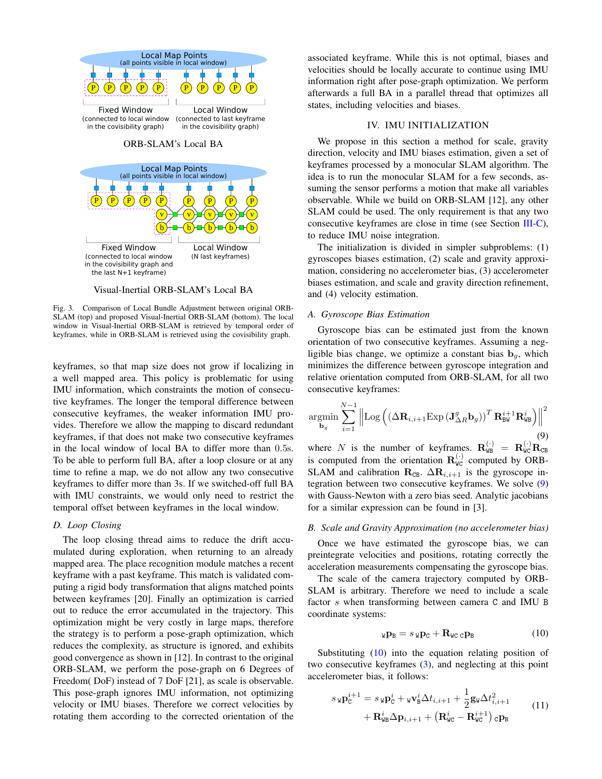



<span id="page-3-1"></span>Visual-Inertial ORB-SLAM's Local BA

Fig. 3. Comparison of Local Bundle Adjustment between original ORB-SLAM (top) and proposed Visual-Inertial ORB-SLAM (bottom). The local window in Visual-Inertial ORB-SLAM is retrieved by temporal order of keyframes, while in ORB-SLAM is retrieved using the covisibility graph.

keyframes, so that map size does not grow if localizing in a well mapped area. This policy is problematic for using IMU information, which constraints the motion of consecutive keyframes. The longer the temporal difference between consecutive keyframes, the weaker information IMU provides. Therefore we allow the mapping to discard redundant keyframes, if that does not make two consecutive keyframes in the local window of local BA to differ more than 0.5s. To be able to perform full BA, after a loop closure or at any time to refine a map, we do not allow any two consecutive keyframes to differ more than 3s. If we switched-off full BA with IMU constraints, we would only need to restrict the temporal offset between keyframes in the local window.

## *D. Loop Closing*

The loop closing thread aims to reduce the drift accumulated during exploration, when returning to an already mapped area. The place recognition module matches a recent keyframe with a past keyframe. This match is validated computing a rigid body transformation that aligns matched points between keyframes [20]. Finally an optimization is carried out to reduce the error accumulated in the trajectory. This optimization might be very costly in large maps, therefore the strategy is to perform a pose-graph optimization, which reduces the complexity, as structure is ignored, and exhibits good convergence as shown in [12]. In contrast to the original ORB-SLAM, we perform the pose-graph on 6 Degrees of Freedom( DoF) instead of 7 DoF [21], as scale is observable. This pose-graph ignores IMU information, not optimizing velocity or IMU biases. Therefore we correct velocities by rotating them according to the corrected orientation of the

associated keyframe. While this is not optimal, biases and velocities should be locally accurate to continue using IMU information right after pose-graph optimization. We perform afterwards a full BA in a parallel thread that optimizes all states, including velocities and biases.

## IV. IMU INITIALIZATION

<span id="page-3-0"></span>We propose in this section a method for scale, gravity direction, velocity and IMU biases estimation, given a set of keyframes processed by a monocular SLAM algorithm. The idea is to run the monocular SLAM for a few seconds, assuming the sensor performs a motion that make all variables observable. While we build on ORB-SLAM [12], any other SLAM could be used. The only requirement is that any two consecutive keyframes are close in time (see Section [III-C\)](#page-2-3), to reduce IMU noise integration.

The initialization is divided in simpler subproblems: (1) gyroscopes biases estimation, (2) scale and gravity approximation, considering no accelerometer bias, (3) accelerometer biases estimation, and scale and gravity direction refinement, and (4) velocity estimation.

#### *A. Gyroscope Bias Estimation*

Gyroscope bias can be estimated just from the known orientation of two consecutive keyframes. Assuming a negligible bias change, we optimize a constant bias  $\mathbf{b}_q$ , which minimizes the difference between gyroscope integration and relative orientation computed from ORB-SLAM, for all two consecutive keyframes:

<span id="page-3-2"></span>
$$
\underset{\mathbf{b}_g}{\text{argmin}} \sum_{i=1}^{N-1} \left\| \text{Log} \left( \left( \Delta \mathbf{R}_{i,i+1} \text{Exp} \left( \mathbf{J}_{\Delta R}^g \mathbf{b}_g \right) \right)^T \mathbf{R}_{\text{BW}}^{i+1} \mathbf{R}_{\text{WB}}^i \right) \right\|^2 \tag{9}
$$

where N is the number of keyframes.  $\mathbf{R}_{WB}^{(\cdot)} = \mathbf{R}_{WG}^{(\cdot)} \mathbf{R}_{GB}$ is computed from the orientation  $\mathbf{R}_{\text{WC}}^{(\cdot)}$  computed by ORB-SLAM and calibration  $\mathbf{R}_{\text{CB}}$ .  $\Delta \mathbf{R}_{i,i+1}$  is the gyroscope integration between two consecutive keyframes. We solve [\(9\)](#page-3-2) with Gauss-Newton with a zero bias seed. Analytic jacobians for a similar expression can be found in [3].

## *B. Scale and Gravity Approximation (no accelerometer bias)*

Once we have estimated the gyroscope bias, we can preintegrate velocities and positions, rotating correctly the acceleration measurements compensating the gyroscope bias.

The scale of the camera trajectory computed by ORB-SLAM is arbitrary. Therefore we need to include a scale factor s when transforming between camera C and IMU B coordinate systems:

<span id="page-3-4"></span><span id="page-3-3"></span>
$$
{}_{W}\mathbf{p}_{B} = s_{W}\mathbf{p}_{C} + \mathbf{R}_{W C C}\mathbf{p}_{B}
$$
 (10)

Substituting [\(10\)](#page-3-3) into the equation relating position of two consecutive keyframes [\(3\)](#page-1-2), and neglecting at this point accelerometer bias, it follows:

$$
s_{\mathbf{W}} \mathbf{p}_{\mathbf{C}}^{i+1} = s_{\mathbf{W}} \mathbf{p}_{\mathbf{C}}^{i} + \mathbf{W}_{\mathbf{B}}^{i} \Delta t_{i,i+1} + \frac{1}{2} \mathbf{g}_{\mathbf{W}} \Delta t_{i,i+1}^{2} + \mathbf{R}_{\mathbf{W}\mathbf{B}}^{i} \Delta \mathbf{p}_{i,i+1} + \left(\mathbf{R}_{\mathbf{W}\mathbf{C}}^{i} - \mathbf{R}_{\mathbf{W}\mathbf{C}}^{i+1}\right) \mathbf{C} \mathbf{p}_{\mathbf{B}}
$$
(11)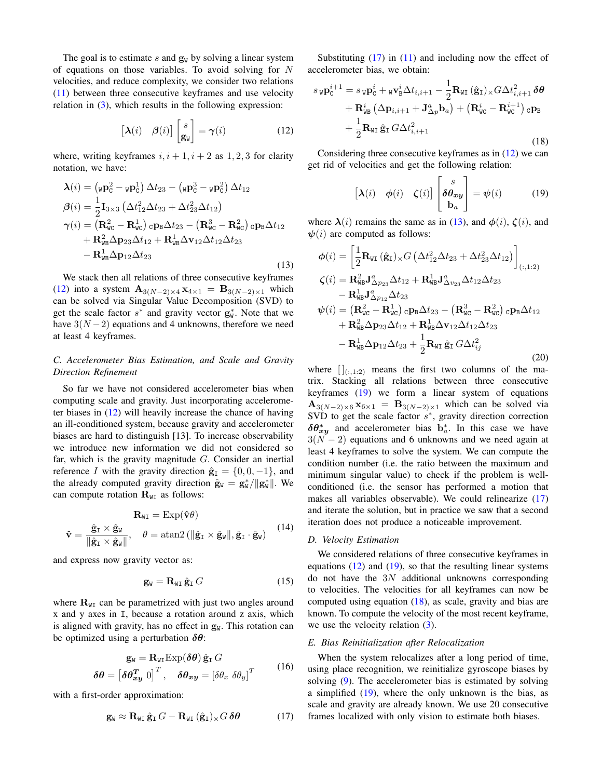The goal is to estimate s and  $g_W$  by solving a linear system of equations on those variables. To avoid solving for N velocities, and reduce complexity, we consider two relations [\(11\)](#page-3-4) between three consecutive keyframes and use velocity relation in  $(3)$ , which results in the following expression:

<span id="page-4-2"></span>
$$
\begin{bmatrix} \lambda(i) & \beta(i) \end{bmatrix} \begin{bmatrix} s \\ \mathbf{g}_{\mathbf{W}} \end{bmatrix} = \gamma(i) \tag{12}
$$

where, writing keyframes  $i, i + 1, i + 2$  as  $1, 2, 3$  for clarity notation, we have:

$$
\lambda(i) = \left(\mathbf{w}\mathbf{p}_{\mathbf{C}}^{2} - \mathbf{w}\mathbf{p}_{\mathbf{C}}^{1}\right) \Delta t_{23} - \left(\mathbf{w}\mathbf{p}_{\mathbf{C}}^{3} - \mathbf{w}\mathbf{p}_{\mathbf{C}}^{2}\right) \Delta t_{12}
$$
\n
$$
\beta(i) = \frac{1}{2} \mathbf{I}_{3 \times 3} \left(\Delta t_{12}^{2} \Delta t_{23} + \Delta t_{23}^{2} \Delta t_{12}\right)
$$
\n
$$
\gamma(i) = \left(\mathbf{R}_{\text{WC}}^{2} - \mathbf{R}_{\text{WC}}^{1}\right) \mathbf{c} \mathbf{p}_{\mathbf{B}} \Delta t_{23} - \left(\mathbf{R}_{\text{WC}}^{3} - \mathbf{R}_{\text{WC}}^{2}\right) \mathbf{c} \mathbf{p}_{\mathbf{B}} \Delta t_{12}
$$
\n
$$
+ \mathbf{R}_{\text{WB}}^{2} \Delta \mathbf{p}_{23} \Delta t_{12} + \mathbf{R}_{\text{WB}}^{1} \Delta \mathbf{v}_{12} \Delta t_{12} \Delta t_{23}
$$
\n
$$
- \mathbf{R}_{\text{WB}}^{1} \Delta \mathbf{p}_{12} \Delta t_{23} \tag{13}
$$

We stack then all relations of three consecutive keyframes [\(12\)](#page-4-0) into a system  $\mathbf{A}_{3(N-2)\times 4} \mathbf{x}_{4\times 1} = \mathbf{B}_{3(N-2)\times 1}$  which can be solved via Singular Value Decomposition (SVD) to get the scale factor  $s^*$  and gravity vector  $\mathbf{g}_{\mathbf{w}}^*$ . Note that we have  $3(N-2)$  equations and 4 unknowns, therefore we need at least 4 keyframes.

# *C. Accelerometer Bias Estimation, and Scale and Gravity Direction Refinement*

So far we have not considered accelerometer bias when computing scale and gravity. Just incorporating accelerometer biases in [\(12\)](#page-4-0) will heavily increase the chance of having an ill-conditioned system, because gravity and accelerometer biases are hard to distinguish [13]. To increase observability we introduce new information we did not considered so far, which is the gravity magnitude  $G$ . Consider an inertial reference I with the gravity direction  $\hat{\mathbf{g}}_I = \{0, 0, -1\}$ , and the already computed gravity direction  $\hat{\mathbf{g}}_{\mathbf{W}} = \mathbf{g}_{\mathbf{W}}^*/\|\mathbf{g}_{\mathbf{W}}^*\|$ . We can compute rotation  $\mathbf{R}_{\text{WI}}$  as follows:

$$
\mathbf{R}_{\mathtt{WI}} = \mathrm{Exp}(\hat{\mathbf{v}}\theta)
$$

$$
\hat{\mathbf{v}} = \frac{\hat{\mathbf{g}}_{\mathtt{I}} \times \hat{\mathbf{g}}_{\mathtt{W}}}{\|\hat{\mathbf{g}}_{\mathtt{I}} \times \hat{\mathbf{g}}_{\mathtt{W}}\|}, \quad \theta = \mathrm{atan2}(\|\hat{\mathbf{g}}_{\mathtt{I}} \times \hat{\mathbf{g}}_{\mathtt{W}}\|, \hat{\mathbf{g}}_{\mathtt{I}} \cdot \hat{\mathbf{g}}_{\mathtt{W}}) \tag{14}
$$

and express now gravity vector as:

$$
\mathbf{g}_{\mathsf{W}} = \mathbf{R}_{\mathsf{W}\mathbf{I}} \,\hat{\mathbf{g}}_{\mathbf{I}} \,G \tag{15}
$$

where  $\mathbf{R}_{\text{WI}}$  can be parametrized with just two angles around x and y axes in I, because a rotation around z axis, which is aligned with gravity, has no effect in  $g_W$ . This rotation can be optimized using a perturbation  $\delta\theta$ :

$$
\mathbf{g}_{\mathsf{W}} = \mathbf{R}_{\mathsf{W}\mathsf{I}} \operatorname{Exp}(\delta \boldsymbol{\theta}) \hat{\mathbf{g}}_{\mathsf{I}} G \delta \boldsymbol{\theta} = \begin{bmatrix} \delta \boldsymbol{\theta}_{xy}^T & 0 \end{bmatrix}^T, \quad \delta \boldsymbol{\theta}_{xy} = \begin{bmatrix} \delta \boldsymbol{\theta}_x & \delta \boldsymbol{\theta}_y \end{bmatrix}^T
$$
\n(16)

with a first-order approximation:

<span id="page-4-1"></span>
$$
\mathbf{g}_{\mathsf{W}} \approx \mathbf{R}_{\mathsf{W}\mathbf{I}} \, \hat{\mathbf{g}}_{\mathbf{I}} \, G - \mathbf{R}_{\mathsf{W}\mathbf{I}} \, (\hat{\mathbf{g}}_{\mathbf{I}})_{\times} G \, \delta \theta \tag{17}
$$

Substituting  $(17)$  in  $(11)$  and including now the effect of accelerometer bias, we obtain:

<span id="page-4-4"></span><span id="page-4-0"></span>
$$
s_{\mathbf{W}} \mathbf{p}_{\mathbf{C}}^{i+1} = s_{\mathbf{W}} \mathbf{p}_{\mathbf{C}}^{i} + \mathbf{w}_{\mathbf{B}}^{i} \Delta t_{i,i+1} - \frac{1}{2} \mathbf{R}_{\mathbf{W} \mathbf{I}} (\hat{\mathbf{g}}_{\mathbf{I}}) \times G \Delta t_{i,i+1}^{2} \delta \theta + \mathbf{R}_{\mathbf{W} \mathbf{B}}^{i} (\Delta \mathbf{p}_{i,i+1} + \mathbf{J}_{\Delta p}^{a} \mathbf{b}_{a}) + (\mathbf{R}_{\mathbf{W} \mathbf{C}}^{i} - \mathbf{R}_{\mathbf{W} \mathbf{C}}^{i+1}) \mathbf{c} \mathbf{p}_{\mathbf{B}} + \frac{1}{2} \mathbf{R}_{\mathbf{W} \mathbf{I}} \hat{\mathbf{g}}_{\mathbf{I}} G \Delta t_{i,i+1}^{2}
$$
(18)

Considering three consecutive keyframes as in [\(12\)](#page-4-0) we can get rid of velocities and get the following relation:

<span id="page-4-3"></span>
$$
\begin{bmatrix} \lambda(i) & \phi(i) & \zeta(i) \end{bmatrix} \begin{bmatrix} s \\ \delta \theta_{xy} \\ b_a \end{bmatrix} = \psi(i) \tag{19}
$$

where  $\lambda(i)$  remains the same as in [\(13\)](#page-4-2), and  $\phi(i)$ ,  $\zeta(i)$ , and  $\psi(i)$  are computed as follows:

$$
\phi(i) = \left[\frac{1}{2}\mathbf{R}_{\text{WI}}(\hat{\mathbf{g}}_{1}) \times G\left(\Delta t_{12}^{2} \Delta t_{23} + \Delta t_{23}^{2} \Delta t_{12}\right)\right]_{(:,1:2)}
$$
\n
$$
\zeta(i) = \mathbf{R}_{\text{WB}}^{2} \mathbf{J}_{\Delta p_{23}}^{\alpha} \Delta t_{12} + \mathbf{R}_{\text{WB}}^{1} \mathbf{J}_{\Delta v_{23}}^{\alpha} \Delta t_{12} \Delta t_{23}
$$
\n
$$
- \mathbf{R}_{\text{WB}}^{1} \mathbf{J}_{\Delta p_{12}}^{\alpha} \Delta t_{23}
$$
\n
$$
\psi(i) = \left(\mathbf{R}_{\text{WC}}^{2} - \mathbf{R}_{\text{WC}}^{1}\right) c \mathbf{p}_{\text{B}} \Delta t_{23} - \left(\mathbf{R}_{\text{WC}}^{3} - \mathbf{R}_{\text{WC}}^{2}\right) c \mathbf{p}_{\text{B}} \Delta t_{12}
$$
\n
$$
+ \mathbf{R}_{\text{WB}}^{2} \Delta \mathbf{p}_{23} \Delta t_{12} + \mathbf{R}_{\text{WB}}^{1} \Delta \mathbf{v}_{12} \Delta t_{12} \Delta t_{23}
$$
\n
$$
- \mathbf{R}_{\text{WB}}^{1} \Delta \mathbf{p}_{12} \Delta t_{23} + \frac{1}{2} \mathbf{R}_{\text{WI}} \hat{\mathbf{g}}_{\text{I}} G \Delta t_{ij}^{2}
$$
\n(20)

where  $\left[ \right]_{(:,1:2)}$  means the first two columns of the matrix. Stacking all relations between three consecutive keyframes [\(19\)](#page-4-3) we form a linear system of equations  $\mathbf{A}_{3(N-2)\times 6}$   $\mathbf{x}_{6\times 1} = \mathbf{B}_{3(N-2)\times 1}$  which can be solved via SVD to get the scale factor  $s^*$ , gravity direction correction  $\delta \theta_{xy}^*$  and accelerometer bias  $\mathbf{b}_a^*$ . In this case we have  $3(N - 2)$  equations and 6 unknowns and we need again at least 4 keyframes to solve the system. We can compute the condition number (i.e. the ratio between the maximum and minimum singular value) to check if the problem is wellconditioned (i.e. the sensor has performed a motion that makes all variables observable). We could relinearize [\(17\)](#page-4-1) and iterate the solution, but in practice we saw that a second iteration does not produce a noticeable improvement.

#### *D. Velocity Estimation*

We considered relations of three consecutive keyframes in equations  $(12)$  and  $(19)$ , so that the resulting linear systems do not have the  $3N$  additional unknowns corresponding to velocities. The velocities for all keyframes can now be computed using equation [\(18\)](#page-4-4), as scale, gravity and bias are known. To compute the velocity of the most recent keyframe, we use the velocity relation  $(3)$ .

#### *E. Bias Reinitialization after Relocalization*

When the system relocalizes after a long period of time, using place recognition, we reinitialize gyroscope biases by solving [\(9\)](#page-3-2). The accelerometer bias is estimated by solving a simplified  $(19)$ , where the only unknown is the bias, as scale and gravity are already known. We use 20 consecutive frames localized with only vision to estimate both biases.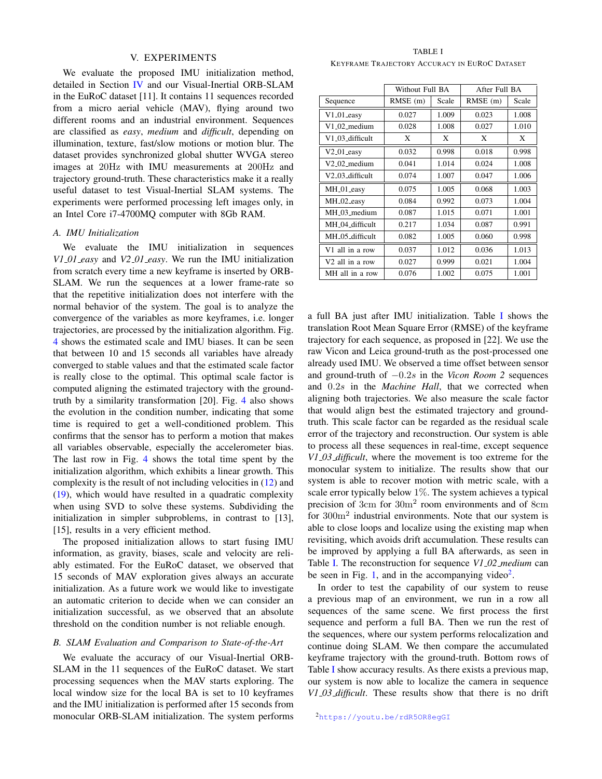#### V. EXPERIMENTS

We evaluate the proposed IMU initialization method, detailed in Section [IV](#page-3-0) and our Visual-Inertial ORB-SLAM in the EuRoC dataset [11]. It contains 11 sequences recorded from a micro aerial vehicle (MAV), flying around two different rooms and an industrial environment. Sequences are classified as *easy*, *medium* and *difficult*, depending on illumination, texture, fast/slow motions or motion blur. The dataset provides synchronized global shutter WVGA stereo images at 20Hz with IMU measurements at 200Hz and trajectory ground-truth. These characteristics make it a really useful dataset to test Visual-Inertial SLAM systems. The experiments were performed processing left images only, in an Intel Core i7-4700MQ computer with 8Gb RAM.

#### *A. IMU Initialization*

We evaluate the IMU initialization in sequences *V1 01 easy* and *V2 01 easy*. We run the IMU initialization from scratch every time a new keyframe is inserted by ORB-SLAM. We run the sequences at a lower frame-rate so that the repetitive initialization does not interfere with the normal behavior of the system. The goal is to analyze the convergence of the variables as more keyframes, i.e. longer trajectories, are processed by the initialization algorithm. Fig. [4](#page-6-0) shows the estimated scale and IMU biases. It can be seen that between 10 and 15 seconds all variables have already converged to stable values and that the estimated scale factor is really close to the optimal. This optimal scale factor is computed aligning the estimated trajectory with the groundtruth by a similarity transformation [20]. Fig. [4](#page-6-0) also shows the evolution in the condition number, indicating that some time is required to get a well-conditioned problem. This confirms that the sensor has to perform a motion that makes all variables observable, especially the accelerometer bias. The last row in Fig. [4](#page-6-0) shows the total time spent by the initialization algorithm, which exhibits a linear growth. This complexity is the result of not including velocities in [\(12\)](#page-4-0) and [\(19\)](#page-4-3), which would have resulted in a quadratic complexity when using SVD to solve these systems. Subdividing the initialization in simpler subproblems, in contrast to [13], [15], results in a very efficient method.

The proposed initialization allows to start fusing IMU information, as gravity, biases, scale and velocity are reliably estimated. For the EuRoC dataset, we observed that 15 seconds of MAV exploration gives always an accurate initialization. As a future work we would like to investigate an automatic criterion to decide when we can consider an initialization successful, as we observed that an absolute threshold on the condition number is not reliable enough.

#### *B. SLAM Evaluation and Comparison to State-of-the-Art*

We evaluate the accuracy of our Visual-Inertial ORB-SLAM in the 11 sequences of the EuRoC dataset. We start processing sequences when the MAV starts exploring. The local window size for the local BA is set to 10 keyframes and the IMU initialization is performed after 15 seconds from monocular ORB-SLAM initialization. The system performs

<span id="page-5-0"></span>TABLE I KEYFRAME TRAJECTORY ACCURACY IN EUROC DATASET

|                                      | Without Full BA |       | After Full BA |       |
|--------------------------------------|-----------------|-------|---------------|-------|
| Sequence                             | $RMSE$ (m)      | Scale | $RMSE$ (m)    | Scale |
| $V1_01_$ easy                        | 0.027           | 1.009 | 0.023         | 1.008 |
| V1 02 medium                         | 0.028           | 1.008 | 0.027         | 1.010 |
| V1_03_difficult                      | X               | X     | X             | X     |
| $V2_01$ <sub>-casy</sub>             | 0.032           | 0.998 | 0.018         | 0.998 |
| V <sub>2</sub> 0 <sub>2</sub> medium | 0.041           | 1.014 | 0.024         | 1.008 |
| V2_03_difficult                      | 0.074           | 1.007 | 0.047         | 1.006 |
| MH <sub>_01</sub> _easy              | 0.075           | 1.005 | 0.068         | 1.003 |
| MH <sub>-02</sub> _easy              | 0.084           | 0.992 | 0.073         | 1.004 |
| MH_03_medium                         | 0.087           | 1.015 | 0.071         | 1.001 |
| MH_04_difficult                      | 0.217           | 1.034 | 0.087         | 0.991 |
| MH <sub>-05-difficult</sub>          | 0.082           | 1.005 | 0.060         | 0.998 |
| V1 all in a row                      | 0.037           | 1.012 | 0.036         | 1.013 |
| V <sub>2</sub> all in a row          | 0.027           | 0.999 | 0.021         | 1.004 |
| MH all in a row                      | 0.076           | 1.002 | 0.075         | 1.001 |

a full BA just after IMU initialization. Table [I](#page-5-0) shows the translation Root Mean Square Error (RMSE) of the keyframe trajectory for each sequence, as proposed in [22]. We use the raw Vicon and Leica ground-truth as the post-processed one already used IMU. We observed a time offset between sensor and ground-truth of −0.2s in the *Vicon Room 2* sequences and 0.2s in the *Machine Hall*, that we corrected when aligning both trajectories. We also measure the scale factor that would align best the estimated trajectory and groundtruth. This scale factor can be regarded as the residual scale error of the trajectory and reconstruction. Our system is able to process all these sequences in real-time, except sequence *V1 03 difficult*, where the movement is too extreme for the monocular system to initialize. The results show that our system is able to recover motion with metric scale, with a scale error typically below 1%. The system achieves a typical precision of 3cm for  $30m^2$  room environments and of 8cm for  $300m^2$  industrial environments. Note that our system is able to close loops and localize using the existing map when revisiting, which avoids drift accumulation. These results can be improved by applying a full BA afterwards, as seen in Table [I.](#page-5-0) The reconstruction for sequence *V1 02 medium* can be seen in Fig. [1,](#page-0-0) and in the accompanying video<sup>[2](#page-5-1)</sup>.

In order to test the capability of our system to reuse a previous map of an environment, we run in a row all sequences of the same scene. We first process the first sequence and perform a full BA. Then we run the rest of the sequences, where our system performs relocalization and continue doing SLAM. We then compare the accumulated keyframe trajectory with the ground-truth. Bottom rows of Table [I](#page-5-0) show accuracy results. As there exists a previous map, our system is now able to localize the camera in sequence *V1 03 difficult*. These results show that there is no drift

```
2https://youtu.be/rdR5OR8egGI
```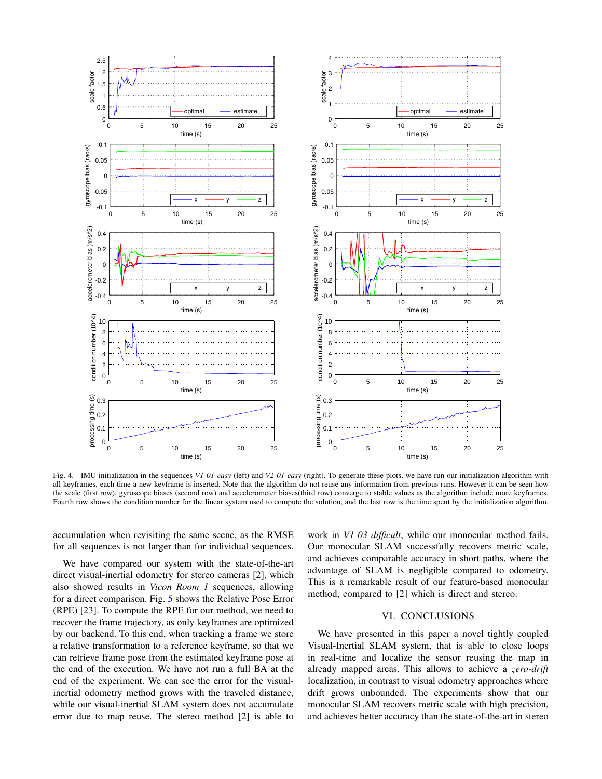

<span id="page-6-0"></span>Fig. 4. IMU initialization in the sequences *V1 01 easy* (left) and *V2 01 easy* (right). To generate these plots, we have run our initialization algorithm with all keyframes, each time a new keyframe is inserted. Note that the algorithm do not reuse any information from previous runs. However it can be seen how the scale (first row), gyroscope biases (second row) and accelerometer biases(third row) converge to stable values as the algorithm include more keyframes. Fourth row shows the condition number for the linear system used to compute the solution, and the last row is the time spent by the initialization algorithm.

accumulation when revisiting the same scene, as the RMSE for all sequences is not larger than for individual sequences.

We have compared our system with the state-of-the-art direct visual-inertial odometry for stereo cameras [2], which also showed results in *Vicon Room 1* sequences, allowing for a direct comparison. Fig. [5](#page-7-0) shows the Relative Pose Error (RPE) [23]. To compute the RPE for our method, we need to recover the frame trajectory, as only keyframes are optimized by our backend. To this end, when tracking a frame we store a relative transformation to a reference keyframe, so that we can retrieve frame pose from the estimated keyframe pose at the end of the execution. We have not run a full BA at the end of the experiment. We can see the error for the visualinertial odometry method grows with the traveled distance, while our visual-inertial SLAM system does not accumulate error due to map reuse. The stereo method [2] is able to

work in *V1 03 difficult*, while our monocular method fails. Our monocular SLAM successfully recovers metric scale, and achieves comparable accuracy in short paths, where the advantage of SLAM is negligible compared to odometry. This is a remarkable result of our feature-based monocular method, compared to [2] which is direct and stereo.

# VI. CONCLUSIONS

We have presented in this paper a novel tightly coupled Visual-Inertial SLAM system, that is able to close loops in real-time and localize the sensor reusing the map in already mapped areas. This allows to achieve a *zero-drift* localization, in contrast to visual odometry approaches where drift grows unbounded. The experiments show that our monocular SLAM recovers metric scale with high precision, and achieves better accuracy than the state-of-the-art in stereo